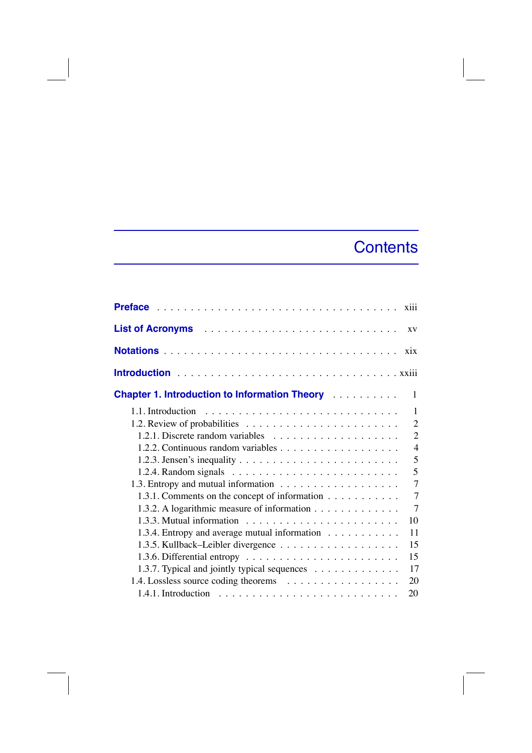## Contents

|                                                                                                                        | XV                                                  |
|------------------------------------------------------------------------------------------------------------------------|-----------------------------------------------------|
|                                                                                                                        | $\overline{X}$ <sup><math>\overline{X}</math></sup> |
|                                                                                                                        |                                                     |
| <b>Chapter 1. Introduction to Information Theory Administration Chapter 1. Introduction to Information Theory</b>      | 1                                                   |
|                                                                                                                        | 1                                                   |
|                                                                                                                        | $\overline{2}$                                      |
|                                                                                                                        | $\overline{2}$                                      |
|                                                                                                                        | $\overline{4}$                                      |
|                                                                                                                        | 5                                                   |
|                                                                                                                        | 5                                                   |
|                                                                                                                        | $\overline{7}$                                      |
| 1.3.1. Comments on the concept of information                                                                          | $\overline{7}$                                      |
| 1.3.2. A logarithmic measure of information                                                                            | $\overline{7}$                                      |
|                                                                                                                        | 10                                                  |
| 1.3.4. Entropy and average mutual information                                                                          | 11                                                  |
|                                                                                                                        | 15                                                  |
|                                                                                                                        | 15                                                  |
| 1.3.7. Typical and jointly typical sequences                                                                           | 17                                                  |
|                                                                                                                        | 20                                                  |
| 1.4.1. Introduction $\cdots$ $\cdots$ $\cdots$ $\cdots$ $\cdots$ $\cdots$ $\cdots$ $\cdots$ $\cdots$ $\cdots$ $\cdots$ | 20                                                  |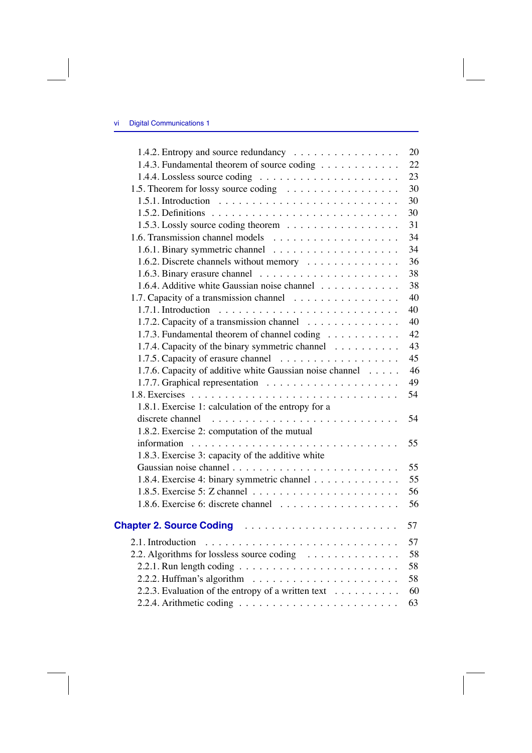| 1.4.2. Entropy and source redundancy                                                 | 20 |
|--------------------------------------------------------------------------------------|----|
| 1.4.3. Fundamental theorem of source coding                                          | 22 |
|                                                                                      | 23 |
| 1.5. Theorem for lossy source coding                                                 | 30 |
| 1.5.1. Introduction $\ldots \ldots \ldots \ldots \ldots \ldots \ldots \ldots \ldots$ | 30 |
|                                                                                      | 30 |
| 1.5.3. Lossly source coding theorem                                                  | 31 |
|                                                                                      | 34 |
|                                                                                      | 34 |
| 1.6.2. Discrete channels without memory                                              | 36 |
|                                                                                      | 38 |
| 1.6.4. Additive white Gaussian noise channel                                         | 38 |
| 1.7. Capacity of a transmission channel                                              | 40 |
|                                                                                      | 40 |
| 1.7.2. Capacity of a transmission channel                                            | 40 |
| 1.7.3. Fundamental theorem of channel coding                                         | 42 |
| 1.7.4. Capacity of the binary symmetric channel                                      | 43 |
|                                                                                      | 45 |
| 1.7.6. Capacity of additive white Gaussian noise channel                             | 46 |
|                                                                                      | 49 |
|                                                                                      | 54 |
| 1.8.1. Exercise 1: calculation of the entropy for a                                  |    |
|                                                                                      | 54 |
| 1.8.2. Exercise 2: computation of the mutual                                         |    |
|                                                                                      | 55 |
| 1.8.3. Exercise 3: capacity of the additive white                                    |    |
|                                                                                      | 55 |
| 1.8.4. Exercise 4: binary symmetric channel                                          | 55 |
|                                                                                      | 56 |
|                                                                                      | 56 |
| Chapter 2. Source Coding                                                             | 57 |
|                                                                                      | 57 |
| 2.2. Algorithms for lossless source coding                                           | 58 |
|                                                                                      | 58 |
|                                                                                      | 58 |
| 2.2.3. Evaluation of the entropy of a written text $\dots \dots \dots$               | 60 |
|                                                                                      | 63 |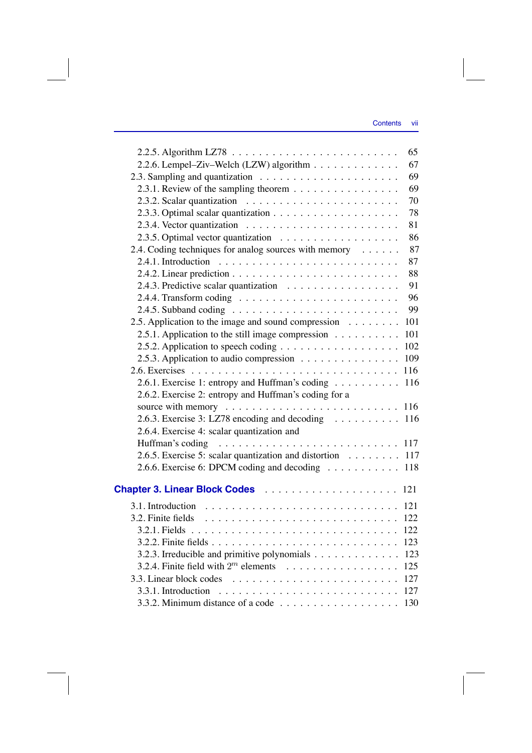|                                                                                      | 65  |
|--------------------------------------------------------------------------------------|-----|
| 2.2.6. Lempel-Ziv-Welch (LZW) algorithm                                              | 67  |
|                                                                                      | 69  |
| 2.3.1. Review of the sampling theorem                                                | 69  |
|                                                                                      | 70  |
|                                                                                      | 78  |
|                                                                                      | 81  |
|                                                                                      | 86  |
| 2.4. Coding techniques for analog sources with memory                                | 87  |
| 2.4.1. Introduction $\ldots \ldots \ldots \ldots \ldots \ldots \ldots \ldots \ldots$ | 87  |
|                                                                                      | 88  |
|                                                                                      | 91  |
|                                                                                      | 96  |
|                                                                                      | 99  |
| 2.5. Application to the image and sound compression                                  | 101 |
| 2.5.1. Application to the still image compression                                    | 101 |
|                                                                                      | 102 |
| 2.5.3. Application to audio compression                                              | 109 |
|                                                                                      | 116 |
| 2.6.1. Exercise 1: entropy and Huffman's coding                                      | 116 |
| 2.6.2. Exercise 2: entropy and Huffman's coding for a                                |     |
|                                                                                      |     |
| 2.6.3. Exercise 3: LZ78 encoding and decoding  116                                   |     |
| 2.6.4. Exercise 4: scalar quantization and                                           |     |
| Huffman's coding                                                                     |     |
| 2.6.5. Exercise 5: scalar quantization and distortion 117                            |     |
| 2.6.6. Exercise 6: DPCM coding and decoding                                          | 118 |
|                                                                                      | 121 |
| 3.1. Introduction                                                                    | 121 |
| 3.2. Finite fields                                                                   | 122 |
|                                                                                      | 122 |
|                                                                                      | 123 |
| 3.2.3. Irreducible and primitive polynomials                                         | 123 |
| 3.2.4. Finite field with $2^m$ elements                                              | 125 |
|                                                                                      | 127 |
|                                                                                      | 127 |
| 3.3.2. Minimum distance of a code $\dots \dots \dots \dots \dots \dots$              | 130 |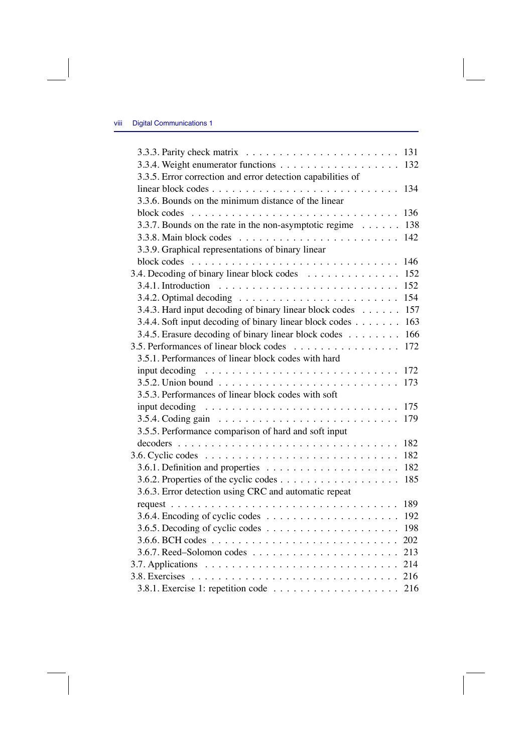|                                                                                     | 131 |
|-------------------------------------------------------------------------------------|-----|
|                                                                                     | 132 |
| 3.3.5. Error correction and error detection capabilities of                         |     |
|                                                                                     | 134 |
| 3.3.6. Bounds on the minimum distance of the linear                                 |     |
| $\begin{array}{cccccccccccccc} . & . & . & . & . & . & . & . & . & . \end{array}$   | 136 |
| 3.3.7. Bounds on the rate in the non-asymptotic regime                              | 138 |
|                                                                                     | 142 |
| 3.3.9. Graphical representations of binary linear                                   |     |
| block codes $\ldots \ldots \ldots \ldots \ldots \ldots \ldots \ldots \ldots \ldots$ | 146 |
| 3.4. Decoding of binary linear block codes                                          | 152 |
|                                                                                     | 152 |
|                                                                                     | 154 |
| 3.4.3. Hard input decoding of binary linear block codes                             | 157 |
| 3.4.4. Soft input decoding of binary linear block codes                             | 163 |
| 3.4.5. Erasure decoding of binary linear block codes                                | 166 |
| 3.5. Performances of linear block codes                                             | 172 |
| 3.5.1. Performances of linear block codes with hard                                 |     |
| input decoding $\ldots \ldots \ldots \ldots \ldots \ldots \ldots \ldots \ldots$     | 172 |
|                                                                                     | 173 |
| 3.5.3. Performances of linear block codes with soft                                 |     |
|                                                                                     | 175 |
|                                                                                     | 179 |
| 3.5.5. Performance comparison of hard and soft input                                |     |
|                                                                                     | 182 |
|                                                                                     | 182 |
|                                                                                     | 182 |
|                                                                                     | 185 |
| 3.6.3. Error detection using CRC and automatic repeat                               |     |
|                                                                                     | 189 |
|                                                                                     |     |
|                                                                                     | 198 |
|                                                                                     | 202 |
|                                                                                     | 213 |
|                                                                                     |     |
|                                                                                     |     |
|                                                                                     |     |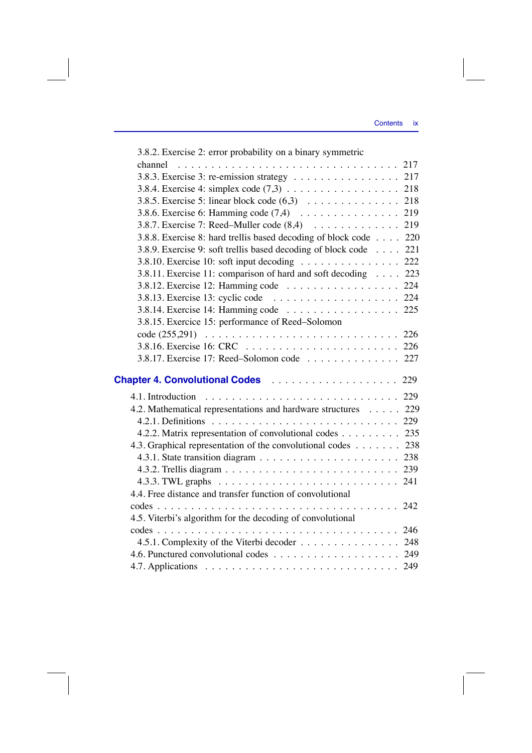| 3.8.2. Exercise 2: error probability on a binary symmetric       |  |
|------------------------------------------------------------------|--|
|                                                                  |  |
| 3.8.3. Exercise 3: re-emission strategy 217                      |  |
|                                                                  |  |
| 3.8.5. Exercise 5: linear block code (6,3) 218                   |  |
|                                                                  |  |
| 3.8.7. Exercise 7: Reed–Muller code (8,4) 219                    |  |
| 3.8.8. Exercise 8: hard trellis based decoding of block code 220 |  |
| 3.8.9. Exercise 9: soft trellis based decoding of block code 221 |  |
| 3.8.10. Exercise 10: soft input decoding 222                     |  |
| 3.8.11. Exercise 11: comparison of hard and soft decoding 223    |  |
| 3.8.12. Exercise 12: Hamming code 224                            |  |
|                                                                  |  |
| 3.8.14. Exercise 14: Hamming code 225                            |  |
| 3.8.15. Exercice 15: performance of Reed-Solomon                 |  |
|                                                                  |  |
|                                                                  |  |
| 3.8.17. Exercise 17: Reed-Solomon code 227                       |  |
|                                                                  |  |
| <b>Chapter 4. Convolutional Codes</b> 229                        |  |
|                                                                  |  |
| 4.2. Mathematical representations and hardware structures 229    |  |
|                                                                  |  |
| 4.2.2. Matrix representation of convolutional codes 235          |  |
| 4.3. Graphical representation of the convolutional codes 238     |  |
|                                                                  |  |
|                                                                  |  |
|                                                                  |  |
| 4.4. Free distance and transfer function of convolutional        |  |
|                                                                  |  |
| 4.5. Viterbi's algorithm for the decoding of convolutional       |  |
|                                                                  |  |
| 4.5.1. Complexity of the Viterbi decoder 248                     |  |
|                                                                  |  |
|                                                                  |  |